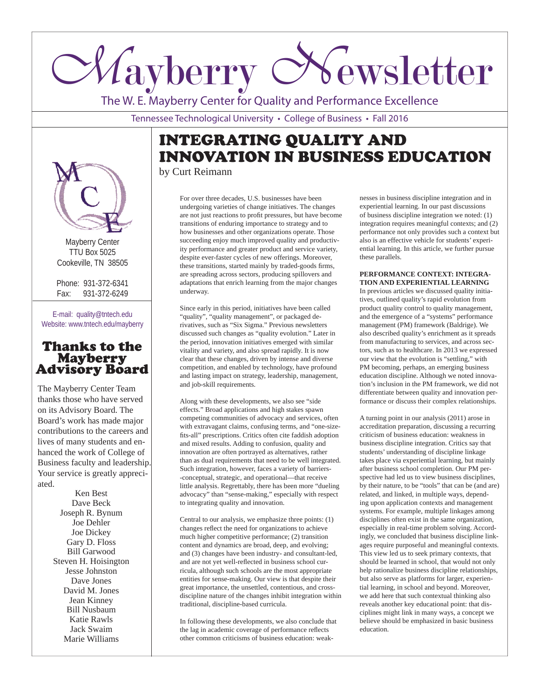# *Mayberry Newsletter*

The W. E. Mayberry Center for Quality and Performance Excellence

Tennessee Technological University • College of Business • Fall 2016

# INTEGRATING QUALITY AND INNOVATION IN BUSINESS EDUCATION by Curt Reimann

Mayberry Center TTU Box 5025 Cookeville, TN 38505

Phone: 931-372-6341 Fax: 931-372-6249

E-mail: quality@tntech.edu Website: www.tntech.edu/mayberry

# Thanks to the **Advisory Board**

The Mayberry Center Team thanks those who have served on its Advisory Board. The Board's work has made major contributions to the careers and lives of many students and enhanced the work of College of Business faculty and leadership. Your service is greatly appreciated.

> Ken Best Dave Beck Joseph R. Bynum Joe Dehler Joe Dickey Gary D. Floss Bill Garwood Steven H. Hoisington Jesse Johnston Dave Jones David M. Jones Jean Kinney Bill Nusbaum Katie Rawls Jack Swaim Marie Williams

For over three decades, U.S. businesses have been undergoing varieties of change initiatives. The changes are not just reactions to profit pressures, but have become transitions of enduring importance to strategy and to how businesses and other organizations operate. Those succeeding enjoy much improved quality and productivity performance and greater product and service variety, despite ever-faster cycles of new offerings. Moreover, these transitions, started mainly by traded-goods firms, are spreading across sectors, producing spillovers and adaptations that enrich learning from the major changes underway.

Since early in this period, initiatives have been called "quality", "quality management", or packaged derivatives, such as "Six Sigma." Previous newsletters discussed such changes as "quality evolution." Later in the period, innovation initiatives emerged with similar vitality and variety, and also spread rapidly. It is now clear that these changes, driven by intense and diverse competition, and enabled by technology, have profound and lasting impact on strategy, leadership, management, and job-skill requirements.

Along with these developments, we also see "side effects." Broad applications and high stakes spawn competing communities of advocacy and services, often with extravagant claims, confusing terms, and "one-sizefits-all" prescriptions. Critics often cite faddish adoption and mixed results. Adding to confusion, quality and innovation are often portrayed as alternatives, rather than as dual requirements that need to be well integrated. Such integration, however, faces a variety of barriers- -conceptual, strategic, and operational—that receive little analysis. Regrettably, there has been more "dueling advocacy" than "sense-making," especially with respect to integrating quality and innovation.

Central to our analysis, we emphasize three points: (1) changes reflect the need for organizations to achieve much higher competitive performance; (2) transition content and dynamics are broad, deep, and evolving; and (3) changes have been industry- and consultant-led, and are not yet well-reflected in business school curricula, although such schools are the most appropriate entities for sense-making. Our view is that despite their great importance, the unsettled, contentious, and crossdiscipline nature of the changes inhibit integration within traditional, discipline-based curricula.

In following these developments, we also conclude that the lag in academic coverage of performance reflects other common criticisms of business education: weaknesses in business discipline integration and in experiential learning. In our past discussions of business discipline integration we noted: (1) integration requires meaningful contexts; and (2) performance not only provides such a context but also is an effective vehicle for students' experiential learning. In this article, we further pursue these parallels.

## **PERFORMANCE CONTEXT: INTEGRA-TION AND EXPERIENTIAL LEARNING**

In previous articles we discussed quality initiatives, outlined quality's rapid evolution from product quality control to quality management, and the emergence of a "systems" performance management (PM) framework (Baldrige). We also described quality's enrichment as it spreads from manufacturing to services, and across sectors, such as to healthcare. In 2013 we expressed our view that the evolution is "settling," with PM becoming, perhaps, an emerging business education discipline. Although we noted innovation's inclusion in the PM framework, we did not differentiate between quality and innovation performance or discuss their complex relationships.

A turning point in our analysis (2011) arose in accreditation preparation, discussing a recurring criticism of business education: weakness in business discipline integration. Critics say that students' understanding of discipline linkage takes place via experiential learning, but mainly after business school completion. Our PM perspective had led us to view business disciplines, by their nature, to be "tools" that can be (and are) related, and linked, in multiple ways, depending upon application contexts and management systems. For example, multiple linkages among disciplines often exist in the same organization, especially in real-time problem solving. Accordingly, we concluded that business discipline linkages require purposeful and meaningful contexts. This view led us to seek primary contexts, that should be learned in school, that would not only help rationalize business discipline relationships, but also serve as platforms for larger, experiential learning, in school and beyond. Moreover, we add here that such contextual thinking also reveals another key educational point: that disciplines might link in many ways, a concept we believe should be emphasized in basic business education.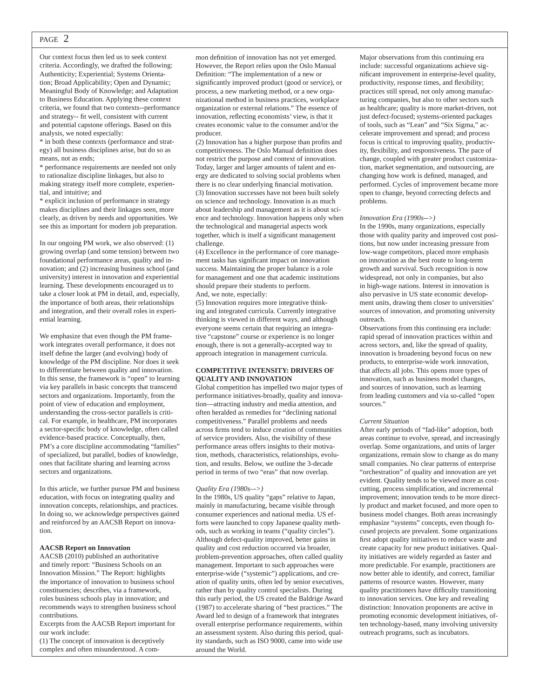## PAGE 2

Our context focus then led us to seek context criteria. Accordingly, we drafted the following: Authenticity; Experiential; Systems Orientation; Broad Applicability; Open and Dynamic; Meaningful Body of Knowledge; and Adaptation to Business Education. Applying these context criteria, we found that two contexts--performance and strategy-- fit well, consistent with current and potential capstone offerings. Based on this analysis, we noted especially:

\* in both these contexts (performance and strategy) all business disciplines arise, but do so as means, not as ends;

\* performance requirements are needed not only to rationalize discipline linkages, but also to making strategy itself more complete, experiential, and intuitive; and

\* explicit inclusion of performance in strategy makes disciplines and their linkages seen, more clearly, as driven by needs and opportunities. We see this as important for modern job preparation.

In our ongoing PM work, we also observed: (1) growing overlap (and some tension) between two foundational performance areas, quality and innovation; and (2) increasing business school (and university) interest in innovation and experiential learning. These developments encouraged us to take a closer look at PM in detail, and, especially, the importance of both areas, their relationships and integration, and their overall roles in experiential learning.

We emphasize that even though the PM framework integrates overall performance, it does not itself define the larger (and evolving) body of knowledge of the PM discipline. Nor does it seek to differentiate between quality and innovation. In this sense, the framework is "open" to learning via key parallels in basic concepts that transcend sectors and organizations. Importantly, from the point of view of education and employment, understanding the cross-sector parallels is critical. For example, in healthcare, PM incorporates a sector-specific body of knowledge, often called evidence-based practice. Conceptually, then, PM's a core discipline accommodating "families" of specialized, but parallel, bodies of knowledge, ones that facilitate sharing and learning across sectors and organizations.

In this article, we further pursue PM and business education, with focus on integrating quality and innovation concepts, relationships, and practices. In doing so, we acknowledge perspectives gained and reinforced by an AACSB Report on innovation.

#### **AACSB Report on Innovation**

AACSB (2010) published an authoritative and timely report: "Business Schools on an Innovation Mission." The Report: highlights the importance of innovation to business school constituencies; describes, via a framework, roles business schools play in innovation; and recommends ways to strengthen business school contributions.

Excerpts from the AACSB Report important for our work include:

(1) The concept of innovation is deceptively complex and often misunderstood. A com-

mon definition of innovation has not yet emerged. However, the Report relies upon the Oslo Manual Definition: "The implementation of a new or significantly improved product (good or service), or process, a new marketing method, or a new organizational method in business practices, workplace organization or external relations." The essence of innovation, reflecting economists' view, is that it creates economic value to the consumer and/or the producer.

(2) Innovation has a higher purpose than profits and competitiveness. The Oslo Manual definition does not restrict the purpose and context of innovation. Today, larger and larger amounts of talent and energy are dedicated to solving social problems when there is no clear underlying financial motivation. (3) Innovation successes have not been built solely on science and technology. Innovation is as much about leadership and management as it is about science and technology. Innovation happens only when the technological and managerial aspects work together, which is itself a significant management challenge.

(4) Excellence in the performance of core management tasks has significant impact on innovation success. Maintaining the proper balance is a role for management and one that academic institutions should prepare their students to perform. And, we note, especially:

(5) Innovation requires more integrative thinking and integrated curricula. Currently integrative thinking is viewed in different ways, and although everyone seems certain that requiring an integrative "capstone" course or experience is no longer enough, there is not a generally-accepted way to approach integration in management curricula.

## **COMPETITIVE INTENSITY: DRIVERS OF QUALITY AND INNOVATION**

Global competition has impelled two major types of performance initiatives-broadly, quality and innovation—attracting industry and media attention, and often heralded as remedies for "declining national competitiveness." Parallel problems and needs across firms tend to induce creation of communities of service providers. Also, the visibility of these performance areas offers insights to their motivation, methods, characteristics, relationships, evolution, and results. Below, we outline the 3-decade period in terms of two "eras" that now overlap.

#### *Quality Era (1980s–->)*

In the 1980s, US quality "gaps" relative to Japan, mainly in manufacturing, became visible through consumer experiences and national media. US efforts were launched to copy Japanese quality methods, such as working in teams ("quality circles"). Although defect-quality improved, better gains in quality and cost reduction occurred via broader, problem-prevention approaches, often called quality management. Important to such approaches were enterprise-wide ("systemic") applications, and creation of quality units, often led by senior executives, rather than by quality control specialists. During this early period, the US created the Baldrige Award (1987) to accelerate sharing of "best practices." The Award led to design of a framework that integrates overall enterprise performance requirements, within an assessment system. Also during this period, quality standards, such as ISO 9000, came into wide use around the World.

Major observations from this continuing era include: successful organizations achieve significant improvement in enterprise-level quality, productivity, response times, and flexibility; practices still spread, not only among manufacturing companies, but also to other sectors such as healthcare; quality is more market-driven, not just defect-focused; systems-oriented packages of tools, such as "Lean" and "Six Sigma," accelerate improvement and spread; and process focus is critical to improving quality, productivity, flexibility, and responsiveness. The pace of change, coupled with greater product customization, market segmentation, and outsourcing, are changing how work is defined, managed, and performed. Cycles of improvement became more open to change, beyond correcting defects and problems.

### *Innovation Era (1990s-->)*

In the 1990s, many organizations, especially those with quality parity and improved cost positions, but now under increasing pressure from low-wage competitors, placed more emphasis on innovation as the best route to long-term growth and survival. Such recognition is now widespread, not only in companies, but also in high-wage nations. Interest in innovation is also pervasive in US state economic development units, drawing them closer to universities' sources of innovation, and promoting university outreach.

Observations from this continuing era include: rapid spread of innovation practices within and across sectors, and, like the spread of quality, innovation is broadening beyond focus on new products, to enterprise-wide work innovation, that affects all jobs. This opens more types of innovation, such as business model changes, and sources of innovation, such as learning from leading customers and via so-called "open sources."

#### *Current Situation*

After early periods of "fad-like" adoption, both areas continue to evolve, spread, and increasingly overlap. Some organizations, and units of larger organizations, remain slow to change as do many small companies. No clear patterns of enterprise "orchestration" of quality and innovation are yet evident. Quality tends to be viewed more as costcutting, process simplification, and incremental improvement; innovation tends to be more directly product and market focused, and more open to business model changes. Both areas increasingly emphasize "systems" concepts, even though focused projects are prevalent. Some organizations first adopt quality initiatives to reduce waste and create capacity for new product initiatives. Quality initiatives are widely regarded as faster and more predictable. For example, practitioners are now better able to identify, and correct, familiar patterns of resource wastes. However, many quality practitioners have difficulty transitioning to innovation services. One key and revealing distinction: Innovation proponents are active in promoting economic development initiatives, often technology-based, many involving university outreach programs, such as incubators.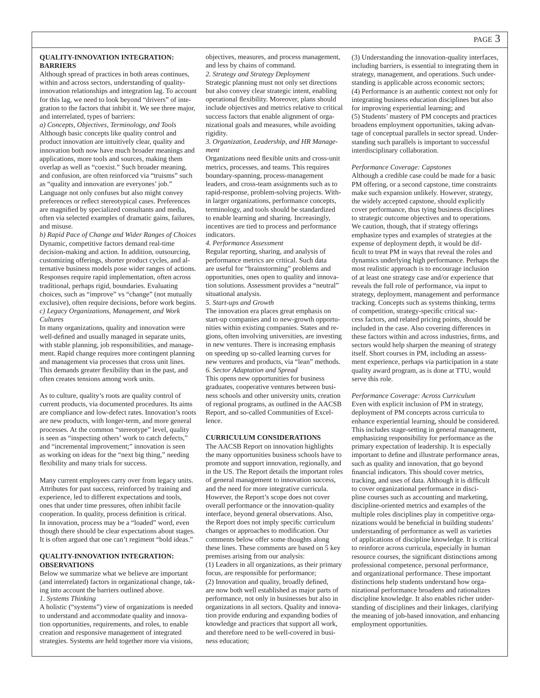## **QUALITY-INNOVATION INTEGRATION: BARRIERS**

Although spread of practices in both areas continues, within and across sectors, understanding of qualityinnovation relationships and integration lag. To account for this lag, we need to look beyond "drivers" of integration to the factors that inhibit it. We see three major, and interrelated, types of barriers:

*a) Concepts, Objectives, Terminology, and Tools* Although basic concepts like quality control and product innovation are intuitively clear, quality and innovation both now have much broader meanings and applications, more tools and sources, making them overlap as well as "coexist." Such broader meaning, and confusion, are often reinforced via "truisms" such as "quality and innovation are everyones' job." Language not only confuses but also might convey preferences or reflect stereotypical cases. Preferences are magnified by specialized consultants and media, often via selected examples of dramatic gains, failures, and misuse.

*b) Rapid Pace of Change and Wider Ranges of Choices* Dynamic, competitive factors demand real-time decision-making and action. In addition, outsourcing, customizing offerings, shorter product cycles, and alternative business models pose wider ranges of actions. Responses require rapid implementation, often across traditional, perhaps rigid, boundaries. Evaluating choices, such as "improve" vs "change" (not mutually exclusive), often require decisions, before work begins. *c) Legacy Organizations, Management, and Work Cultures*

In many organizations, quality and innovation were well-defined and usually managed in separate units, with stable planning, job responsibilities, and management. Rapid change requires more contingent planning and management via processes that cross unit lines. This demands greater flexibility than in the past, and often creates tensions among work units.

As to culture, quality's roots are quality control of current products, via documented procedures. Its aims are compliance and low-defect rates. Innovation's roots are new products, with longer-term, and more general processes. At the common "stereotype" level, quality is seen as "inspecting others' work to catch defects," and "incremental improvement;" innovation is seen as working on ideas for the "next big thing," needing flexibility and many trials for success.

Many current employees carry over from legacy units. Attributes for past success, reinforced by training and experience, led to different expectations and tools, ones that under time pressures, often inhibit facile cooperation. In quality, process definition is critical. In innovation, process may be a "loaded" word, even though there should be clear expectations about stages. It is often argued that one can't regiment "bold ideas."

## **QUALITY-INNOVATION INTEGRATION: OBSERVATIONS**

Below we summarize what we believe are important (and interrelated) factors in organizational change, taking into account the barriers outlined above. *1. Systems Thinking*

A holistic ("systems") view of organizations is needed to understand and accommodate quality and innovation opportunities, requirements, and roles, to enable creation and responsive management of integrated strategies. Systems are held together more via visions, objectives, measures, and process management, and less by chains of command.

*2. Strategy and Strategy Deployment* Strategic planning must not only set directions but also convey clear strategic intent, enabling operational flexibility. Moreover, plans should include objectives and metrics relative to critical success factors that enable alignment of organizational goals and measures, while avoiding rigidity.

*3. Organization, Leadership, and HR Management*

Organizations need flexible units and cross-unit metrics, processes, and teams. This requires boundary-spanning, process-management leaders, and cross-team assignments such as to rapid-response, problem-solving projects. Within larger organizations, performance concepts, terminology, and tools should be standardized to enable learning and sharing. Increasingly, incentives are tied to process and performance indicators.

*4. Performance Assessment* Regular reporting, sharing, and analysis of performance metrics are critical. Such data are useful for "brainstorming" problems and opportunities, ones open to quality and innovation solutions. Assessment provides a "neutral" situational analysis.

#### *5. Start-ups and Growth*

The innovation era places great emphasis on start-up companies and to new-growth opportunities within existing companies. States and regions, often involving universities, are investing in new ventures. There is increasing emphasis on speeding up so-called learning curves for new ventures and products, via "lean" methods. *6. Sector Adaptation and Spread* This opens new opportunities for business graduates, cooperative ventures between business schools and other university units, creation of regional programs, as outlined in the AACSB Report, and so-called Communities of Excellence.

## **CURRICULUM CONSIDERATIONS**

The AACSB Report on innovation highlights the many opportunities business schools have to promote and support innovation, regionally, and in the US. The Report details the important roles of general management to innovation success, and the need for more integrative curricula. However, the Report's scope does not cover overall performance or the innovation-quality interface, beyond general observations. Also, the Report does not imply specific curriculum changes or approaches to modification. Our comments below offer some thoughts along these lines. These comments are based on 5 key premises arising from our analysis: (1) Leaders in all organizations, as their primary focus, are responsible for performance; (2) Innovation and quality, broadly defined, are now both well established as major parts of performance, not only in businesses but also in organizations in all sectors. Quality and innovation provide enduring and expanding bodies of knowledge and practices that support all work, and therefore need to be well-covered in business education;

(3) Understanding the innovation-quality interfaces, including barriers, is essential to integrating them in strategy, management, and operations. Such understanding is applicable across economic sectors; (4) Performance is an authentic context not only for integrating business education disciplines but also for improving experiential learning; and (5) Students' mastery of PM concepts and practices broadens employment opportunities, taking advantage of conceptual parallels in sector spread. Understanding such parallels is important to successful interdisciplinary collaboration.

#### *Performance Coverage: Capstones*

Although a credible case could be made for a basic PM offering, or a second capstone, time constraints make such expansion unlikely. However, strategy, the widely accepted capstone, should explicitly cover performance, thus tying business disciplines to strategic outcome objectives and to operations. We caution, though, that if strategy offerings emphasize types and examples of strategies at the expense of deployment depth, it would be difficult to treat PM in ways that reveal the roles and dynamics underlying high performance. Perhaps the most realistic approach is to encourage inclusion of at least one strategy case and/or experience that reveals the full role of performance, via input to strategy, deployment, management and performance tracking. Concepts such as systems thinking, terms of competition, strategy-specific critical success factors, and related pricing points, should be included in the case. Also covering differences in these factors within and across industries, firms, and sectors would help sharpen the meaning of strategy itself. Short courses in PM, including an assessment experience, perhaps via participation in a state quality award program, as is done at TTU, would serve this role.

*Performance Coverage: Across Curriculum* Even with explicit inclusion of PM in strategy, deployment of PM concepts across curricula to enhance experiential learning, should be considered. This includes stage-setting in general management, emphasizing responsibility for performance as the primary expectation of leadership. It is especially important to define and illustrate performance areas, such as quality and innovation, that go beyond financial indicators. This should cover metrics, tracking, and uses of data. Although it is difficult to cover organizational performance in discipline courses such as accounting and marketing, discipline-oriented metrics and examples of the multiple roles disciplines play in competitive organizations would be beneficial in building students' understanding of performance as well as varieties of applications of discipline knowledge. It is critical to reinforce across curricula, especially in human resource courses, the significant distinctions among professional competence, personal performance, and organizational performance. These important distinctions help students understand how organizational performance broadens and rationalizes discipline knowledge. It also enables richer understanding of disciplines and their linkages, clarifying the meaning of job-based innovation, and enhancing employment opportunities.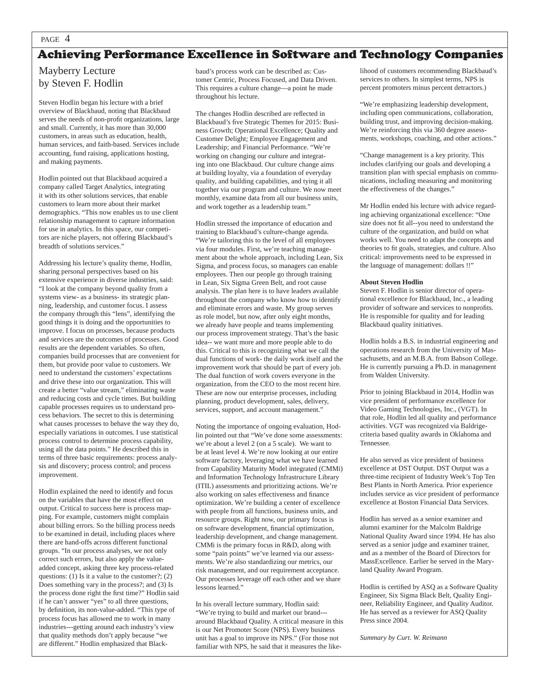## Achieving Performance Excellence in Software and Technology Companies

## Mayberry Lecture by Steven F. Hodlin

Steven Hodlin began his lecture with a brief overview of Blackbaud, noting that Blackbaud serves the needs of non-profit organizations, large and small. Currently, it has more than 30,000 customers, in areas such as education, health, human services, and faith-based. Services include accounting, fund raising, applications hosting, and making payments.

Hodlin pointed out that Blackbaud acquired a company called Target Analytics, integrating it with its other solutions services, that enable customers to learn more about their market demographics. "This now enables us to use client relationship management to capture information for use in analytics. In this space, our competitors are niche players, not offering Blackbaud's breadth of solutions services."

Addressing his lecture's quality theme, Hodlin, sharing personal perspectives based on his extensive experience in diverse industries, said: "I look at the company beyond quality from a systems view- as a business- its strategic planning, leadership, and customer focus. I assess the company through this "lens", identifying the good things it is doing and the opportunities to improve. I focus on processes, because products and services are the outcomes of processes. Good results are the dependent variables. So often, companies build processes that are convenient for them, but provide poor value to customers. We need to understand the customers' expectations and drive these into our organization. This will create a better "value stream," eliminating waste and reducing costs and cycle times. But building capable processes requires us to understand process behaviors. The secret to this is determining what causes processes to behave the way they do, especially variations in outcomes. I use statistical process control to determine process capability, using all the data points." He described this in terms of three basic requirements: process analysis and discovery; process control; and process improvement.

Hodlin explained the need to identify and focus on the variables that have the most effect on output. Critical to success here is process mapping. For example, customers might complain about billing errors. So the billing process needs to be examined in detail, including places where there are hand-offs across different functional groups. "In our process analyses, we not only correct such errors, but also apply the valueadded concept, asking three key process-related questions: (1) Is it a value to the customer?; (2) Does something vary in the process?; and (3) Is the process done right the first time?" Hodlin said if he can't answer "yes" to all three questions, by definition, its non-value-added. "This type of process focus has allowed me to work in many industries---getting around each industry's view that quality methods don't apply because "we are different." Hodlin emphasized that Blackbaud's process work can be described as: Customer Centric, Process Focused, and Data Driven. This requires a culture change—a point he made throughout his lecture.

The changes Hodlin described are reflected in Blackbaud's five Strategic Themes for 2015: Business Growth; Operational Excellence; Quality and Customer Delight; Employee Engagement and Leadership; and Financial Performance. "We're working on changing our culture and integrating into one Blackbaud. Our culture change aims at building loyalty, via a foundation of everyday quality, and building capabilities, and tying it all together via our program and culture. We now meet monthly, examine data from all our business units, and work together as a leadership team."

Hodlin stressed the importance of education and training to Blackbaud's culture-change agenda. "We're tailoring this to the level of all employees via four modules. First, we're teaching management about the whole approach, including Lean, Six Sigma, and process focus, so managers can enable employees. Then our people go through training in Lean, Six Sigma Green Belt, and root cause analysis. The plan here is to have leaders available throughout the company who know how to identify and eliminate errors and waste. My group serves as role model, but now, after only eight months, we already have people and teams implementing our process improvement strategy. That's the basic idea-- we want more and more people able to do this. Critical to this is recognizing what we call the dual functions of work- the daily work itself and the improvement work that should be part of every job. The dual function of work covers everyone in the organization, from the CEO to the most recent hire. These are now our enterprise processes, including planning, product development, sales, delivery, services, support, and account management."

Noting the importance of ongoing evaluation, Hodlin pointed out that "We've done some assessments: we're about a level 2 (on a 5 scale). We want to be at least level 4. We're now looking at our entire software factory, leveraging what we have learned from Capability Maturity Model integrated (CMMi) and Information Technology Infrastructure Library (ITIL) assessments and prioritizing actions. We're also working on sales effectiveness and finance optimization. We're building a center of excellence with people from all functions, business units, and resource groups. Right now, our primary focus is on software development, financial optimization, leadership development, and change management. CMMi is the primary focus in R&D, along with some "pain points" we've learned via our assessments. We're also standardizing our metrics, our risk management, and our requirement acceptance. Our processes leverage off each other and we share lessons learned."

In his overall lecture summary, Hodlin said: "We're trying to build and market our brand-- around Blackbaud Quality. A critical measure in this is our Net Promoter Score (NPS). Every business unit has a goal to improve its NPS." (For those not familiar with NPS, he said that it measures the likelihood of customers recommending Blackbaud's services to others. In simplest terms, NPS is percent promoters minus percent detractors.)

"We're emphasizing leadership development, including open communications, collaboration, building trust, and improving decision-making. We're reinforcing this via 360 degree assessments, workshops, coaching, and other actions."

"Change management is a key priority. This includes clarifying our goals and developing a transition plan with special emphasis on communications, including measuring and monitoring the effectiveness of the changes."

Mr Hodlin ended his lecture with advice regarding achieving organizational excellence: "One size does not fit all--you need to understand the culture of the organization, and build on what works well. You need to adapt the concepts and theories to fit goals, strategies, and culture. Also critical: improvements need to be expressed in the language of management: dollars !!"

## **About Steven Hodlin**

Steven F. Hodlin is senior director of operational excellence for Blackbaud, Inc., a leading provider of software and services to nonprofits. He is responsible for quality and for leading Blackbaud quality initiatives.

Hodlin holds a B.S. in industrial engineering and operations research from the University of Massachusetts, and an M.B.A. from Babson College. He is currently pursuing a Ph.D. in management from Walden University.

Prior to joining Blackbaud in 2014, Hodlin was vice president of performance excellence for Video Gaming Technologies, Inc., (VGT). In that role, Hodlin led all quality and performance activities. VGT was recognized via Baldrigecriteria based quality awards in Oklahoma and Tennessee.

He also served as vice president of business excellence at DST Output. DST Output was a three-time recipient of Industry Week's Top Ten Best Plants in North America. Prior experience includes service as vice president of performance excellence at Boston Financial Data Services.

Hodlin has served as a senior examiner and alumni examiner for the Malcolm Baldrige National Quality Award since 1994. He has also served as a senior judge and examiner trainer, and as a member of the Board of Directors for MassExcellence. Earlier he served in the Maryland Quality Award Program.

Hodlin is certified by ASO as a Software Quality Engineer, Six Sigma Black Belt, Quality Engineer, Reliability Engineer, and Quality Auditor. He has served as a reviewer for ASQ Quality Press since 2004.

*Summary by Curt. W. Reimann*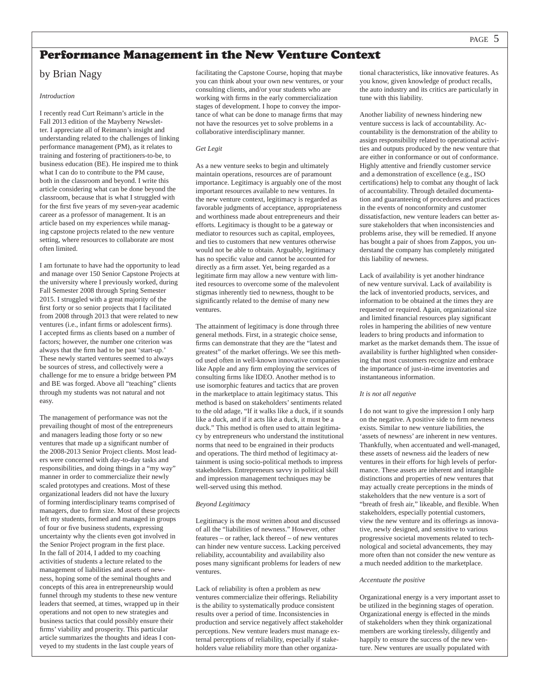## by Brian Nagy

## *Introduction*

I recently read Curt Reimann's article in the Fall 2013 edition of the Mayberry Newsletter. I appreciate all of Reimann's insight and understanding related to the challenges of linking performance management (PM), as it relates to training and fostering of practitioners-to-be, to business education (BE). He inspired me to think what I can do to contribute to the PM cause, both in the classroom and beyond. I write this article considering what can be done beyond the classroom, because that is what I struggled with for the first five years of my seven-year academic career as a professor of management. It is an article based on my experiences while managing capstone projects related to the new venture setting, where resources to collaborate are most often limited.

I am fortunate to have had the opportunity to lead and manage over 150 Senior Capstone Projects at the university where I previously worked, during Fall Semester 2008 through Spring Semester 2015. I struggled with a great majority of the first forty or so senior projects that I facilitated from 2008 through 2013 that were related to new ventures (i.e., infant firms or adolescent firms). I accepted firms as clients based on a number of factors; however, the number one criterion was always that the firm had to be past 'start-up.' These newly started ventures seemed to always be sources of stress, and collectively were a challenge for me to ensure a bridge between PM and BE was forged. Above all "teaching" clients through my students was not natural and not easy.

The management of performance was not the prevailing thought of most of the entrepreneurs and managers leading those forty or so new ventures that made up a significant number of the 2008-2013 Senior Project clients. Most leaders were concerned with day-to-day tasks and responsibilities, and doing things in a "my way" manner in order to commercialize their newly scaled prototypes and creations. Most of these organizational leaders did not have the luxury of forming interdisciplinary teams comprised of managers, due to firm size. Most of these projects left my students, formed and managed in groups of four or five business students, expressing uncertainty why the clients even got involved in the Senior Project program in the first place. In the fall of 2014, I added to my coaching activities of students a lecture related to the management of liabilities and assets of newness, hoping some of the seminal thoughts and concepts of this area in entrepreneurship would funnel through my students to these new venture leaders that seemed, at times, wrapped up in their operations and not open to new strategies and business tactics that could possibly ensure their firms' viability and prosperity. This particular article summarizes the thoughts and ideas I conveyed to my students in the last couple years of

facilitating the Capstone Course, hoping that maybe you can think about your own new ventures, or your consulting clients, and/or your students who are working with firms in the early commercialization stages of development. I hope to convey the importance of what can be done to manage firms that may not have the resources yet to solve problems in a collaborative interdisciplinary manner.

## *Get Legit*

As a new venture seeks to begin and ultimately maintain operations, resources are of paramount importance. Legitimacy is arguably one of the most important resources available to new ventures. In the new venture context, legitimacy is regarded as favorable judgments of acceptance, appropriateness and worthiness made about entrepreneurs and their efforts. Legitimacy is thought to be a gateway or mediator to resources such as capital, employees, and ties to customers that new ventures otherwise would not be able to obtain. Arguably, legitimacy has no specific value and cannot be accounted for directly as a firm asset. Yet, being regarded as a legitimate firm may allow a new venture with limited resources to overcome some of the malevolent stigmas inherently tied to newness, thought to be significantly related to the demise of many new ventures.

The attainment of legitimacy is done through three general methods. First, in a strategic choice sense, firms can demonstrate that they are the "latest and greatest" of the market offerings. We see this method used often in well-known innovative companies like Apple and any firm employing the services of consulting firms like IDEO. Another method is to use isomorphic features and tactics that are proven in the marketplace to attain legitimacy status. This method is based on stakeholders' sentiments related to the old adage, "If it walks like a duck, if it sounds like a duck, and if it acts like a duck, it must be a duck." This method is often used to attain legitimacy by entrepreneurs who understand the institutional norms that need to be engrained in their products and operations. The third method of legitimacy attainment is using socio-political methods to impress stakeholders. Entrepreneurs savvy in political skill and impression management techniques may be well-served using this method.

## *Beyond Legitimacy*

Legitimacy is the most written about and discussed of all the "liabilities of newness." However, other features – or rather, lack thereof – of new ventures can hinder new venture success. Lacking perceived reliability, accountability and availability also poses many significant problems for leaders of new ventures.

Lack of reliability is often a problem as new ventures commercialize their offerings. Reliability is the ability to systematically produce consistent results over a period of time. Inconsistencies in production and service negatively affect stakeholder perceptions. New venture leaders must manage external perceptions of reliability, especially if stakeholders value reliability more than other organiza-

tional characteristics, like innovative features. As you know, given knowledge of product recalls, the auto industry and its critics are particularly in tune with this liability.

Another liability of newness hindering new venture success is lack of accountability. Accountability is the demonstration of the ability to assign responsibility related to operational activities and outputs produced by the new venture that are either in conformance or out of conformance. Highly attentive and friendly customer service and a demonstration of excellence (e.g., ISO certifications) help to combat any thought of lack of accountability. Through detailed documentation and guaranteeing of procedures and practices in the events of nonconformity and customer dissatisfaction, new venture leaders can better assure stakeholders that when inconsistencies and problems arise, they will be remedied. If anyone has bought a pair of shoes from Zappos, you understand the company has completely mitigated this liability of newness.

Lack of availability is yet another hindrance of new venture survival. Lack of availability is the lack of inventoried products, services, and information to be obtained at the times they are requested or required. Again, organizational size and limited financial resources play significant roles in hampering the abilities of new venture leaders to bring products and information to market as the market demands them. The issue of availability is further highlighted when considering that most customers recognize and embrace the importance of just-in-time inventories and instantaneous information.

## *It is not all negative*

I do not want to give the impression I only harp on the negative. A positive side to firm newness exists. Similar to new venture liabilities, the 'assets of newness' are inherent in new ventures. Thankfully, when accentuated and well-managed, these assets of newness aid the leaders of new ventures in their efforts for high levels of performance. These assets are inherent and intangible distinctions and properties of new ventures that may actually create perceptions in the minds of stakeholders that the new venture is a sort of "breath of fresh air," likeable, and flexible. When stakeholders, especially potential customers, view the new venture and its offerings as innovative, newly designed, and sensitive to various progressive societal movements related to technological and societal advancements, they may more often than not consider the new venture as a much needed addition to the marketplace.

## *Accentuate the positive*

Organizational energy is a very important asset to be utilized in the beginning stages of operation. Organizational energy is effected in the minds of stakeholders when they think organizational members are working tirelessly, diligently and happily to ensure the success of the new venture. New ventures are usually populated with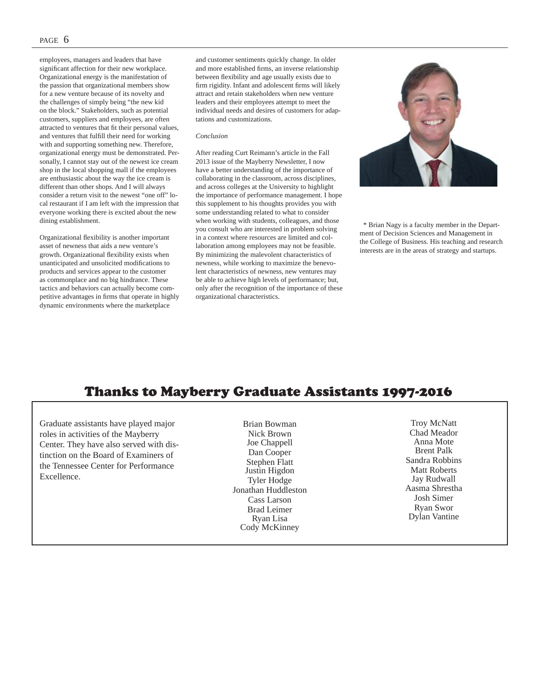employees, managers and leaders that have significant affection for their new workplace. Organizational energy is the manifestation of the passion that organizational members show for a new venture because of its novelty and the challenges of simply being "the new kid on the block." Stakeholders, such as potential customers, suppliers and employees, are often attracted to ventures that fit their personal values, and ventures that fulfill their need for working with and supporting something new. Therefore, organizational energy must be demonstrated. Personally, I cannot stay out of the newest ice cream shop in the local shopping mall if the employees are enthusiastic about the way the ice cream is different than other shops. And I will always consider a return visit to the newest "one off" local restaurant if I am left with the impression that everyone working there is excited about the new dining establishment.

Organizational flexibility is another important asset of newness that aids a new venture's growth. Organizational flexibility exists when unanticipated and unsolicited modifications to products and services appear to the customer as commonplace and no big hindrance. These tactics and behaviors can actually become competitive advantages in firms that operate in highly dynamic environments where the marketplace

and customer sentiments quickly change. In older and more established firms, an inverse relationship between flexibility and age usually exists due to firm rigidity. Infant and adolescent firms will likely attract and retain stakeholders when new venture leaders and their employees attempt to meet the individual needs and desires of customers for adaptations and customizations.

## *Conclusion*

After reading Curt Reimann's article in the Fall 2013 issue of the Mayberry Newsletter, I now have a better understanding of the importance of collaborating in the classroom, across disciplines, and across colleges at the University to highlight the importance of performance management. I hope this supplement to his thoughts provides you with some understanding related to what to consider when working with students, colleagues, and those you consult who are interested in problem solving in a context where resources are limited and collaboration among employees may not be feasible. By minimizing the malevolent characteristics of newness, while working to maximize the benevolent characteristics of newness, new ventures may be able to achieve high levels of performance; but, only after the recognition of the importance of these organizational characteristics.



 \* Brian Nagy is a faculty member in the Department of Decision Sciences and Management in the College of Business. His teaching and research interests are in the areas of strategy and startups.

## Thanks to Mayberry Graduate Assistants 1997-2016

Graduate assistants have played major roles in activities of the Mayberry Center. They have also served with distinction on the Board of Examiners of the Tennessee Center for Performance Excellence.

Brian Bowman Nick Brown Joe Chappell Dan Cooper Stephen Flatt Justin Higdon Tyler Hodge Jonathan Huddleston Cass Larson Brad Leimer Ryan Lisa Cody McKinney

Troy McNatt Chad Meador Anna Mote Brent Palk Sandra Robbins Matt Roberts Jay Rudwall Aasma Shrestha Josh Simer Ryan Swor Dylan Vantine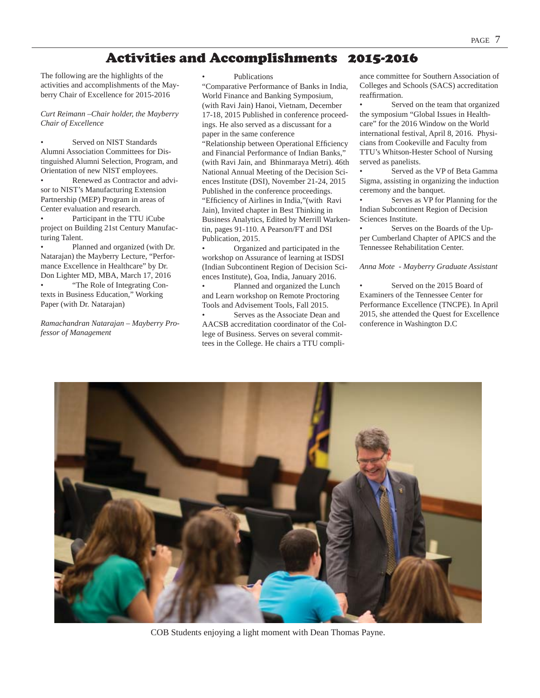## Activities and Accomplishments 2015-2016

The following are the highlights of the activities and accomplishments of the Mayberry Chair of Excellence for 2015-2016

## *Curt Reimann –Chair holder, the Mayberry Chair of Excellence*

Served on NIST Standards Alumni Association Committees for Distinguished Alumni Selection, Program, and Orientation of new NIST employees.

Renewed as Contractor and advisor to NIST's Manufacturing Extension Partnership (MEP) Program in areas of Center evaluation and research.

Participant in the TTU iCube project on Building 21st Century Manufacturing Talent.

• Planned and organized (with Dr. Natarajan) the Mayberry Lecture, "Performance Excellence in Healthcare" by Dr. Don Lighter MD, MBA, March 17, 2016 • "The Role of Integrating Contexts in Business Education," Working Paper (with Dr. Natarajan)

*Ramachandran Natarajan – Mayberry Professor of Management*

## • Publications

"Comparative Performance of Banks in India, World Finance and Banking Symposium, (with Ravi Jain) Hanoi, Vietnam, December 17-18, 2015 Published in conference proceedings. He also served as a discussant for a paper in the same conference "Relationship between Operational Efficiency and Financial Performance of Indian Banks," (with Ravi Jain, and Bhinmaraya Metri). 46th National Annual Meeting of the Decision Sciences Institute (DSI), November 21-24, 2015 Published in the conference proceedings. "Efficiency of Airlines in India," (with Ravi Jain), Invited chapter in Best Thinking in Business Analytics, Edited by Merrill Warkentin, pages 91-110. A Pearson/FT and DSI Publication, 2015.

• Organized and participated in the workshop on Assurance of learning at ISDSI (Indian Subcontinent Region of Decision Sciences Institute), Goa, India, January 2016.

Planned and organized the Lunch and Learn workshop on Remote Proctoring Tools and Advisement Tools, Fall 2015.

Serves as the Associate Dean and AACSB accreditation coordinator of the College of Business. Serves on several committees in the College. He chairs a TTU compliance committee for Southern Association of Colleges and Schools (SACS) accreditation reaffirmation.

Served on the team that organized the symposium "Global Issues in Healthcare" for the 2016 Window on the World international festival, April 8, 2016. Physicians from Cookeville and Faculty from TTU's Whitson-Hester School of Nursing served as panelists.

Served as the VP of Beta Gamma Sigma, assisting in organizing the induction ceremony and the banquet.

Serves as VP for Planning for the Indian Subcontinent Region of Decision Sciences Institute.

Serves on the Boards of the Upper Cumberland Chapter of APICS and the Tennessee Rehabilitation Center.

*Anna Mote - Mayberry Graduate Assistant*

Served on the 2015 Board of Examiners of the Tennessee Center for Performance Excellence (TNCPE). In April 2015, she attended the Quest for Excellence conference in Washington D.C



COB Students enjoying a light moment with Dean Thomas Payne.